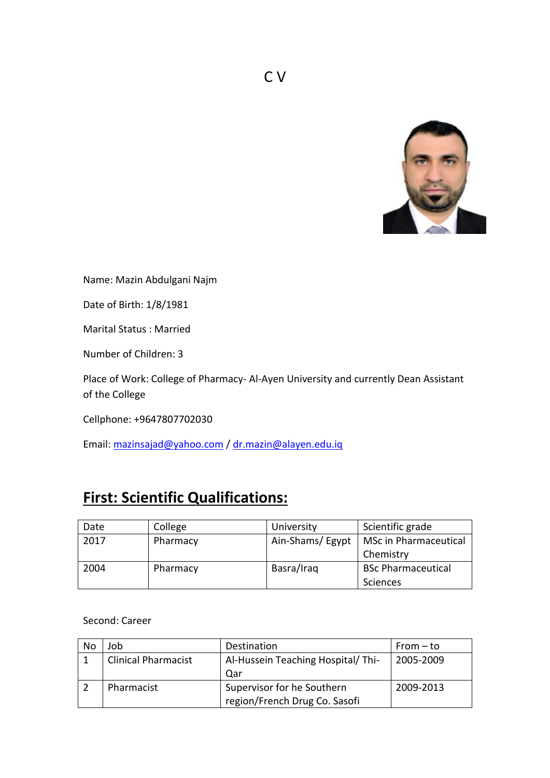

Name: Mazin Abdulgani Najm

Date of Birth: 1/8/1981

Marital Status : Married

Number of Children: 3

Place of Work: College of Pharmacy- Al-Ayen University and currently Dean Assistant of the College

Cellphone: +9647807702030

Email: [mazinsajad@yahoo.com](mailto:mazinsajad@yahoo.com) / [dr.mazin@alayen.edu.iq](mailto:dr.mazin@alayen.edu.iq)

## **First: Scientific Qualifications:**

| Date | College  | University      | Scientific grade          |
|------|----------|-----------------|---------------------------|
| 2017 | Pharmacy | Ain-Shams/Egypt | MSc in Pharmaceutical     |
|      |          |                 | Chemistry                 |
| 2004 | Pharmacy | Basra/Iraq      | <b>BSc Pharmaceutical</b> |
|      |          |                 | Sciences                  |

Second: Career

| No | Job                        | Destination                       | From $-$ to |
|----|----------------------------|-----------------------------------|-------------|
|    | <b>Clinical Pharmacist</b> | Al-Hussein Teaching Hospital/Thi- | 2005-2009   |
|    |                            | Qar                               |             |
|    | Pharmacist                 | Supervisor for he Southern        | 2009-2013   |
|    |                            | region/French Drug Co. Sasofi     |             |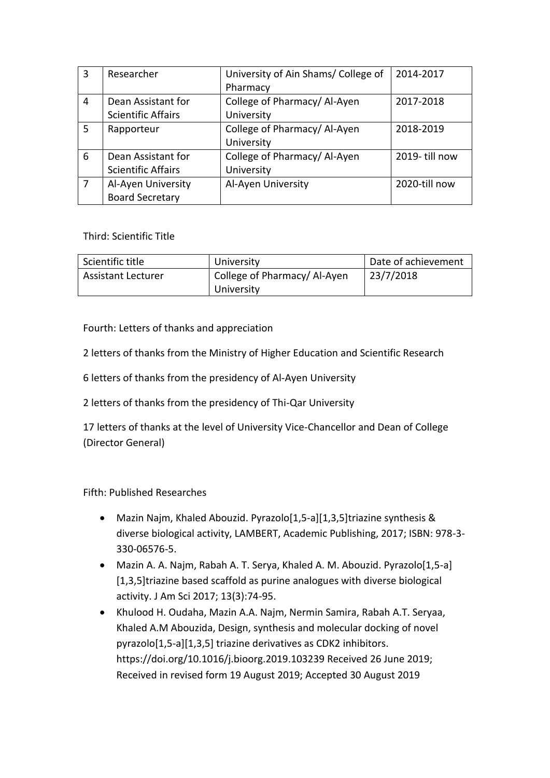| 3  | Researcher                | University of Ain Shams/College of | 2014-2017     |
|----|---------------------------|------------------------------------|---------------|
|    |                           | Pharmacy                           |               |
| 4  | Dean Assistant for        | College of Pharmacy/Al-Ayen        | 2017-2018     |
|    | <b>Scientific Affairs</b> | University                         |               |
| 5. | Rapporteur                | College of Pharmacy/Al-Ayen        | 2018-2019     |
|    |                           | University                         |               |
| 6  | Dean Assistant for        | College of Pharmacy/Al-Ayen        | 2019-till now |
|    | <b>Scientific Affairs</b> | University                         |               |
| 7  | Al-Ayen University        | Al-Ayen University                 | 2020-till now |
|    | <b>Board Secretary</b>    |                                    |               |

Third: Scientific Title

| Scientific title          | University                                | Date of achievement |
|---------------------------|-------------------------------------------|---------------------|
| <b>Assistant Lecturer</b> | College of Pharmacy/Al-Ayen<br>University | 23/7/2018           |

Fourth: Letters of thanks and appreciation

2 letters of thanks from the Ministry of Higher Education and Scientific Research

6 letters of thanks from the presidency of Al-Ayen University

2 letters of thanks from the presidency of Thi-Qar University

17 letters of thanks at the level of University Vice-Chancellor and Dean of College (Director General)

Fifth: Published Researches

- Mazin Najm, Khaled Abouzid. Pyrazolo[1,5-a][1,3,5]triazine synthesis & diverse biological activity, LAMBERT, Academic Publishing, 2017; ISBN: 978-3- 330-06576-5.
- Mazin A. A. Najm, Rabah A. T. Serya, Khaled A. M. Abouzid. Pyrazolo[1,5-a] [1,3,5]triazine based scaffold as purine analogues with diverse biological activity. J Am Sci 2017; 13(3):74-95.
- Khulood H. Oudaha, Mazin A.A. Najm, Nermin Samira, Rabah A.T. Seryaa, Khaled A.M Abouzida, Design, synthesis and molecular docking of novel pyrazolo[1,5-a][1,3,5] triazine derivatives as CDK2 inhibitors. https://doi.org/10.1016/j.bioorg.2019.103239 Received 26 June 2019; Received in revised form 19 August 2019; Accepted 30 August 2019